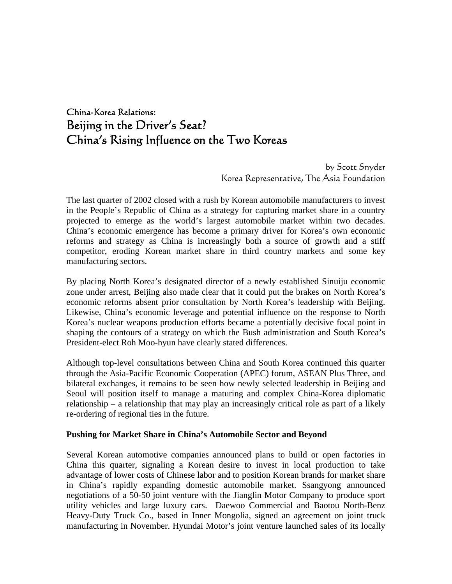# China-Korea Relations: Beijing in the Driver's Seat? China's Rising Influence on the Two Koreas

 by Scott Snyder Korea Representative, The Asia Foundation

The last quarter of 2002 closed with a rush by Korean automobile manufacturers to invest in the People's Republic of China as a strategy for capturing market share in a country projected to emerge as the world's largest automobile market within two decades. China's economic emergence has become a primary driver for Korea's own economic reforms and strategy as China is increasingly both a source of growth and a stiff competitor, eroding Korean market share in third country markets and some key manufacturing sectors.

By placing North Korea's designated director of a newly established Sinuiju economic zone under arrest, Beijing also made clear that it could put the brakes on North Korea's economic reforms absent prior consultation by North Korea's leadership with Beijing. Likewise, China's economic leverage and potential influence on the response to North Korea's nuclear weapons production efforts became a potentially decisive focal point in shaping the contours of a strategy on which the Bush administration and South Korea's President-elect Roh Moo-hyun have clearly stated differences.

Although top-level consultations between China and South Korea continued this quarter through the Asia-Pacific Economic Cooperation (APEC) forum, ASEAN Plus Three, and bilateral exchanges, it remains to be seen how newly selected leadership in Beijing and Seoul will position itself to manage a maturing and complex China-Korea diplomatic relationship – a relationship that may play an increasingly critical role as part of a likely re-ordering of regional ties in the future.

### **Pushing for Market Share in China's Automobile Sector and Beyond**

Several Korean automotive companies announced plans to build or open factories in China this quarter, signaling a Korean desire to invest in local production to take advantage of lower costs of Chinese labor and to position Korean brands for market share in China's rapidly expanding domestic automobile market. Ssangyong announced negotiations of a 50-50 joint venture with the Jianglin Motor Company to produce sport utility vehicles and large luxury cars. Daewoo Commercial and Baotou North-Benz Heavy-Duty Truck Co., based in Inner Mongolia, signed an agreement on joint truck manufacturing in November. Hyundai Motor's joint venture launched sales of its locally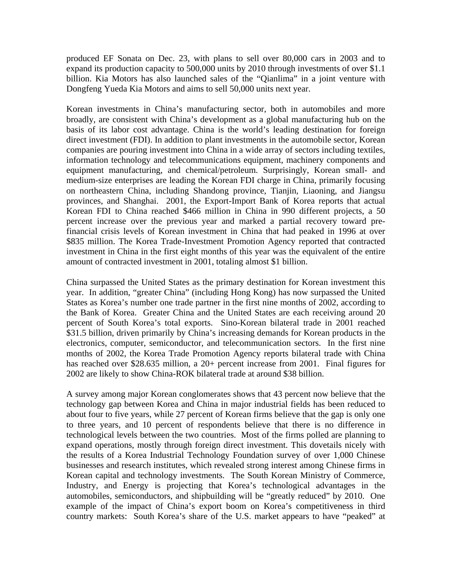produced EF Sonata on Dec. 23, with plans to sell over 80,000 cars in 2003 and to expand its production capacity to 500,000 units by 2010 through investments of over \$1.1 billion. Kia Motors has also launched sales of the "Qianlima" in a joint venture with Dongfeng Yueda Kia Motors and aims to sell 50,000 units next year.

Korean investments in China's manufacturing sector, both in automobiles and more broadly, are consistent with China's development as a global manufacturing hub on the basis of its labor cost advantage. China is the world's leading destination for foreign direct investment (FDI). In addition to plant investments in the automobile sector, Korean companies are pouring investment into China in a wide array of sectors including textiles, information technology and telecommunications equipment, machinery components and equipment manufacturing, and chemical/petroleum. Surprisingly, Korean small- and medium-size enterprises are leading the Korean FDI charge in China, primarily focusing on northeastern China, including Shandong province, Tianjin, Liaoning, and Jiangsu provinces, and Shanghai. 2001, the Export-Import Bank of Korea reports that actual Korean FDI to China reached \$466 million in China in 990 different projects, a 50 percent increase over the previous year and marked a partial recovery toward prefinancial crisis levels of Korean investment in China that had peaked in 1996 at over \$835 million. The Korea Trade-Investment Promotion Agency reported that contracted investment in China in the first eight months of this year was the equivalent of the entire amount of contracted investment in 2001, totaling almost \$1 billion.

China surpassed the United States as the primary destination for Korean investment this year. In addition, "greater China" (including Hong Kong) has now surpassed the United States as Korea's number one trade partner in the first nine months of 2002, according to the Bank of Korea. Greater China and the United States are each receiving around 20 percent of South Korea's total exports. Sino-Korean bilateral trade in 2001 reached \$31.5 billion, driven primarily by China's increasing demands for Korean products in the electronics, computer, semiconductor, and telecommunication sectors. In the first nine months of 2002, the Korea Trade Promotion Agency reports bilateral trade with China has reached over \$28.635 million, a 20+ percent increase from 2001. Final figures for 2002 are likely to show China-ROK bilateral trade at around \$38 billion.

A survey among major Korean conglomerates shows that 43 percent now believe that the technology gap between Korea and China in major industrial fields has been reduced to about four to five years, while 27 percent of Korean firms believe that the gap is only one to three years, and 10 percent of respondents believe that there is no difference in technological levels between the two countries. Most of the firms polled are planning to expand operations, mostly through foreign direct investment. This dovetails nicely with the results of a Korea Industrial Technology Foundation survey of over 1,000 Chinese businesses and research institutes, which revealed strong interest among Chinese firms in Korean capital and technology investments. The South Korean Ministry of Commerce, Industry, and Energy is projecting that Korea's technological advantages in the automobiles, semiconductors, and shipbuilding will be "greatly reduced" by 2010. One example of the impact of China's export boom on Korea's competitiveness in third country markets: South Korea's share of the U.S. market appears to have "peaked" at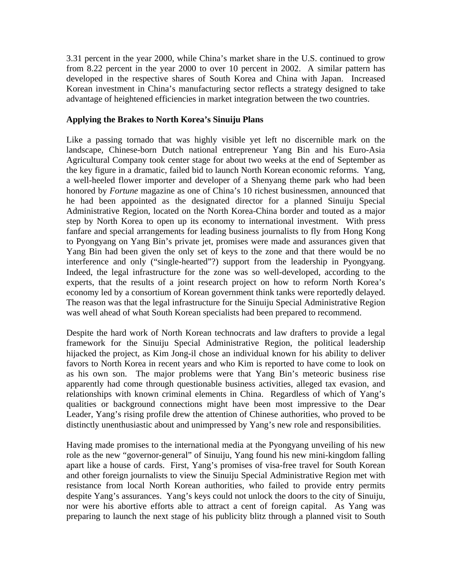3.31 percent in the year 2000, while China's market share in the U.S. continued to grow from 8.22 percent in the year 2000 to over 10 percent in 2002. A similar pattern has developed in the respective shares of South Korea and China with Japan. Increased Korean investment in China's manufacturing sector reflects a strategy designed to take advantage of heightened efficiencies in market integration between the two countries.

## **Applying the Brakes to North Korea's Sinuiju Plans**

Like a passing tornado that was highly visible yet left no discernible mark on the landscape, Chinese-born Dutch national entrepreneur Yang Bin and his Euro-Asia Agricultural Company took center stage for about two weeks at the end of September as the key figure in a dramatic, failed bid to launch North Korean economic reforms. Yang, a well-heeled flower importer and developer of a Shenyang theme park who had been honored by *Fortune* magazine as one of China's 10 richest businessmen, announced that he had been appointed as the designated director for a planned Sinuiju Special Administrative Region, located on the North Korea-China border and touted as a major step by North Korea to open up its economy to international investment. With press fanfare and special arrangements for leading business journalists to fly from Hong Kong to Pyongyang on Yang Bin's private jet, promises were made and assurances given that Yang Bin had been given the only set of keys to the zone and that there would be no interference and only ("single-hearted"?) support from the leadership in Pyongyang. Indeed, the legal infrastructure for the zone was so well-developed, according to the experts, that the results of a joint research project on how to reform North Korea's economy led by a consortium of Korean government think tanks were reportedly delayed. The reason was that the legal infrastructure for the Sinuiju Special Administrative Region was well ahead of what South Korean specialists had been prepared to recommend.

Despite the hard work of North Korean technocrats and law drafters to provide a legal framework for the Sinuiju Special Administrative Region, the political leadership hijacked the project, as Kim Jong-il chose an individual known for his ability to deliver favors to North Korea in recent years and who Kim is reported to have come to look on as his own son. The major problems were that Yang Bin's meteoric business rise apparently had come through questionable business activities, alleged tax evasion, and relationships with known criminal elements in China. Regardless of which of Yang's qualities or background connections might have been most impressive to the Dear Leader, Yang's rising profile drew the attention of Chinese authorities, who proved to be distinctly unenthusiastic about and unimpressed by Yang's new role and responsibilities.

Having made promises to the international media at the Pyongyang unveiling of his new role as the new "governor-general" of Sinuiju, Yang found his new mini-kingdom falling apart like a house of cards. First, Yang's promises of visa-free travel for South Korean and other foreign journalists to view the Sinuiju Special Administrative Region met with resistance from local North Korean authorities, who failed to provide entry permits despite Yang's assurances. Yang's keys could not unlock the doors to the city of Sinuiju, nor were his abortive efforts able to attract a cent of foreign capital. As Yang was preparing to launch the next stage of his publicity blitz through a planned visit to South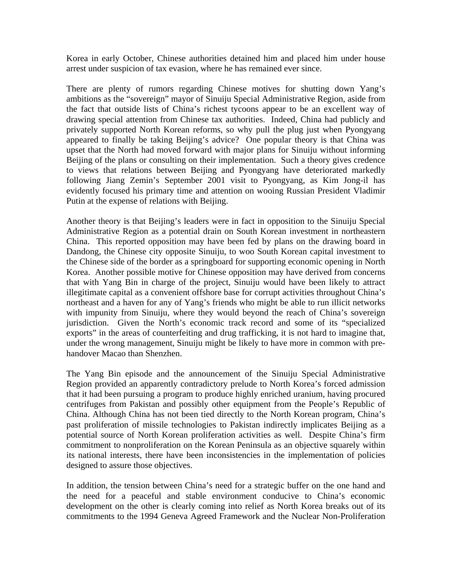Korea in early October, Chinese authorities detained him and placed him under house arrest under suspicion of tax evasion, where he has remained ever since.

There are plenty of rumors regarding Chinese motives for shutting down Yang's ambitions as the "sovereign" mayor of Sinuiju Special Administrative Region, aside from the fact that outside lists of China's richest tycoons appear to be an excellent way of drawing special attention from Chinese tax authorities. Indeed, China had publicly and privately supported North Korean reforms, so why pull the plug just when Pyongyang appeared to finally be taking Beijing's advice? One popular theory is that China was upset that the North had moved forward with major plans for Sinuiju without informing Beijing of the plans or consulting on their implementation. Such a theory gives credence to views that relations between Beijing and Pyongyang have deteriorated markedly following Jiang Zemin's September 2001 visit to Pyongyang, as Kim Jong-il has evidently focused his primary time and attention on wooing Russian President Vladimir Putin at the expense of relations with Beijing.

Another theory is that Beijing's leaders were in fact in opposition to the Sinuiju Special Administrative Region as a potential drain on South Korean investment in northeastern China. This reported opposition may have been fed by plans on the drawing board in Dandong, the Chinese city opposite Sinuiju, to woo South Korean capital investment to the Chinese side of the border as a springboard for supporting economic opening in North Korea. Another possible motive for Chinese opposition may have derived from concerns that with Yang Bin in charge of the project, Sinuiju would have been likely to attract illegitimate capital as a convenient offshore base for corrupt activities throughout China's northeast and a haven for any of Yang's friends who might be able to run illicit networks with impunity from Sinuiju, where they would beyond the reach of China's sovereign jurisdiction. Given the North's economic track record and some of its "specialized exports" in the areas of counterfeiting and drug trafficking, it is not hard to imagine that, under the wrong management, Sinuiju might be likely to have more in common with prehandover Macao than Shenzhen.

The Yang Bin episode and the announcement of the Sinuiju Special Administrative Region provided an apparently contradictory prelude to North Korea's forced admission that it had been pursuing a program to produce highly enriched uranium, having procured centrifuges from Pakistan and possibly other equipment from the People's Republic of China. Although China has not been tied directly to the North Korean program, China's past proliferation of missile technologies to Pakistan indirectly implicates Beijing as a potential source of North Korean proliferation activities as well. Despite China's firm commitment to nonproliferation on the Korean Peninsula as an objective squarely within its national interests, there have been inconsistencies in the implementation of policies designed to assure those objectives.

In addition, the tension between China's need for a strategic buffer on the one hand and the need for a peaceful and stable environment conducive to China's economic development on the other is clearly coming into relief as North Korea breaks out of its commitments to the 1994 Geneva Agreed Framework and the Nuclear Non-Proliferation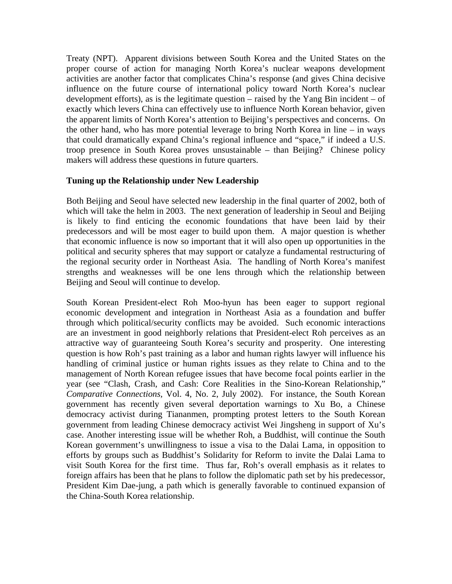Treaty (NPT). Apparent divisions between South Korea and the United States on the proper course of action for managing North Korea's nuclear weapons development activities are another factor that complicates China's response (and gives China decisive influence on the future course of international policy toward North Korea's nuclear development efforts), as is the legitimate question – raised by the Yang Bin incident – of exactly which levers China can effectively use to influence North Korean behavior, given the apparent limits of North Korea's attention to Beijing's perspectives and concerns. On the other hand, who has more potential leverage to bring North Korea in line – in ways that could dramatically expand China's regional influence and "space," if indeed a U.S. troop presence in South Korea proves unsustainable – than Beijing? Chinese policy makers will address these questions in future quarters.

### **Tuning up the Relationship under New Leadership**

Both Beijing and Seoul have selected new leadership in the final quarter of 2002, both of which will take the helm in 2003. The next generation of leadership in Seoul and Beijing is likely to find enticing the economic foundations that have been laid by their predecessors and will be most eager to build upon them. A major question is whether that economic influence is now so important that it will also open up opportunities in the political and security spheres that may support or catalyze a fundamental restructuring of the regional security order in Northeast Asia. The handling of North Korea's manifest strengths and weaknesses will be one lens through which the relationship between Beijing and Seoul will continue to develop.

South Korean President-elect Roh Moo-hyun has been eager to support regional economic development and integration in Northeast Asia as a foundation and buffer through which political/security conflicts may be avoided. Such economic interactions are an investment in good neighborly relations that President-elect Roh perceives as an attractive way of guaranteeing South Korea's security and prosperity. One interesting question is how Roh's past training as a labor and human rights lawyer will influence his handling of criminal justice or human rights issues as they relate to China and to the management of North Korean refugee issues that have become focal points earlier in the year (see "Clash, Crash, and Cash: Core Realities in the Sino-Korean Relationship," *Comparative Connections,* Vol. 4, No. 2, July 2002). For instance, the South Korean government has recently given several deportation warnings to Xu Bo, a Chinese democracy activist during Tiananmen, prompting protest letters to the South Korean government from leading Chinese democracy activist Wei Jingsheng in support of Xu's case. Another interesting issue will be whether Roh, a Buddhist, will continue the South Korean government's unwillingness to issue a visa to the Dalai Lama, in opposition to efforts by groups such as Buddhist's Solidarity for Reform to invite the Dalai Lama to visit South Korea for the first time. Thus far, Roh's overall emphasis as it relates to foreign affairs has been that he plans to follow the diplomatic path set by his predecessor, President Kim Dae-jung, a path which is generally favorable to continued expansion of the China-South Korea relationship.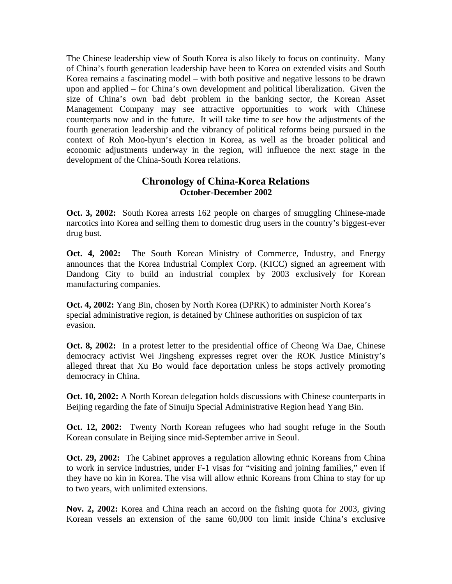The Chinese leadership view of South Korea is also likely to focus on continuity. Many of China's fourth generation leadership have been to Korea on extended visits and South Korea remains a fascinating model – with both positive and negative lessons to be drawn upon and applied – for China's own development and political liberalization. Given the size of China's own bad debt problem in the banking sector, the Korean Asset Management Company may see attractive opportunities to work with Chinese counterparts now and in the future. It will take time to see how the adjustments of the fourth generation leadership and the vibrancy of political reforms being pursued in the context of Roh Moo-hyun's election in Korea, as well as the broader political and economic adjustments underway in the region, will influence the next stage in the development of the China-South Korea relations.

# **Chronology of China-Korea Relations October-December 2002**

**Oct. 3, 2002:** South Korea arrests 162 people on charges of smuggling Chinese-made narcotics into Korea and selling them to domestic drug users in the country's biggest-ever drug bust.

**Oct. 4, 2002:** The South Korean Ministry of Commerce, Industry, and Energy announces that the Korea Industrial Complex Corp. (KICC) signed an agreement with Dandong City to build an industrial complex by 2003 exclusively for Korean manufacturing companies.

**Oct. 4, 2002:** Yang Bin, chosen by North Korea (DPRK) to administer North Korea's special administrative region, is detained by Chinese authorities on suspicion of tax evasion.

**Oct. 8, 2002:** In a protest letter to the presidential office of Cheong Wa Dae, Chinese democracy activist Wei Jingsheng expresses regret over the ROK Justice Ministry's alleged threat that Xu Bo would face deportation unless he stops actively promoting democracy in China.

**Oct. 10, 2002:** A North Korean delegation holds discussions with Chinese counterparts in Beijing regarding the fate of Sinuiju Special Administrative Region head Yang Bin.

**Oct. 12, 2002:** Twenty North Korean refugees who had sought refuge in the South Korean consulate in Beijing since mid-September arrive in Seoul.

**Oct. 29, 2002:** The Cabinet approves a regulation allowing ethnic Koreans from China to work in service industries, under F-1 visas for "visiting and joining families," even if they have no kin in Korea. The visa will allow ethnic Koreans from China to stay for up to two years, with unlimited extensions.

**Nov. 2, 2002:** Korea and China reach an accord on the fishing quota for 2003, giving Korean vessels an extension of the same 60,000 ton limit inside China's exclusive